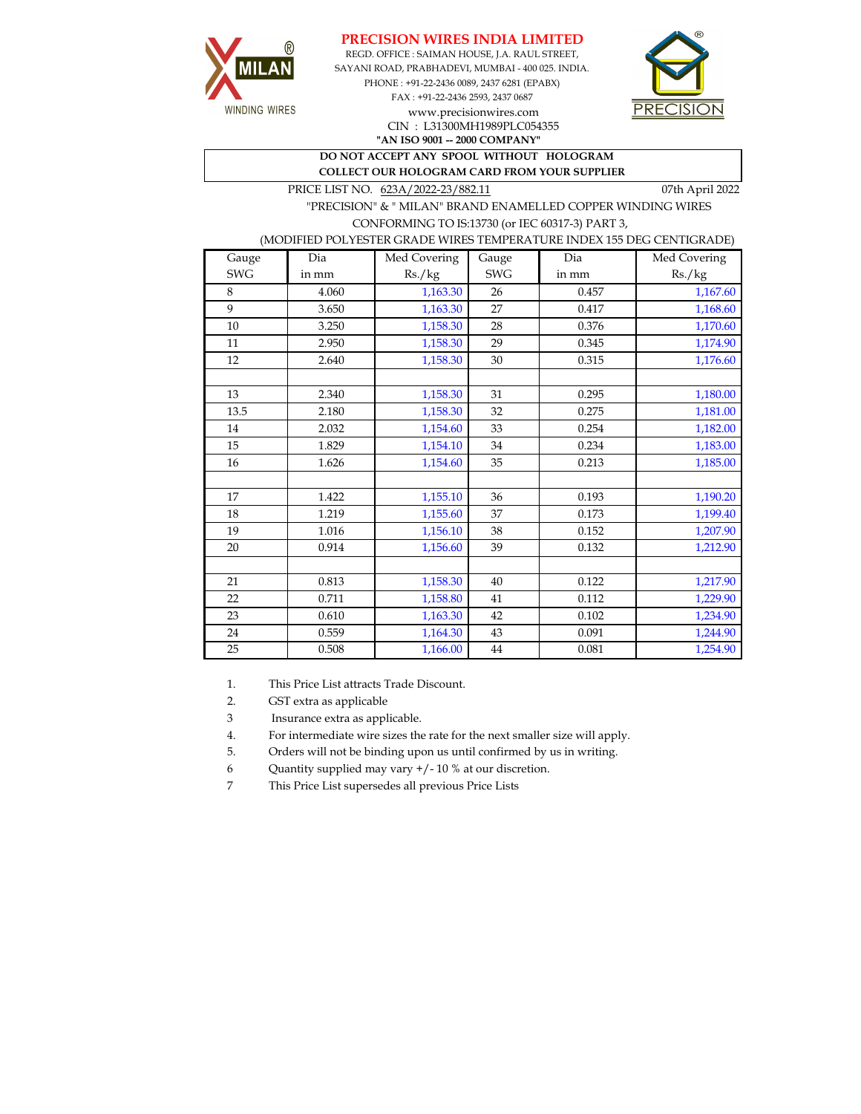





CIN : L31300MH1989PLC054355

**"AN ISO 9001 -- 2000 COMPANY"**

**DO NOT ACCEPT ANY SPOOL WITHOUT HOLOGRAM COLLECT OUR HOLOGRAM CARD FROM YOUR SUPPLIER** 

PRICE LIST NO.  $623A/2022-23/882.11$  07th April 2022

 "PRECISION" & " MILAN" BRAND ENAMELLED COPPER WINDING WIRES CONFORMING TO IS:13730 (or IEC 60317-3) PART 3,

## (MODIFIED POLYESTER GRADE WIRES TEMPERATURE INDEX 155 DEG CENTIGRADE)

| Gauge      | Dia   | Med Covering | Gauge      | Dia   | Med Covering |
|------------|-------|--------------|------------|-------|--------------|
| <b>SWG</b> | in mm | Rs./kg       | <b>SWG</b> | in mm | Rs./kg       |
| 8          | 4.060 | 1,163.30     | 26         | 0.457 | 1,167.60     |
| 9          | 3.650 | 1,163.30     | 27         | 0.417 | 1,168.60     |
| $10\,$     | 3.250 | 1,158.30     | 28         | 0.376 | 1,170.60     |
| 11         | 2.950 | 1,158.30     | 29         | 0.345 | 1,174.90     |
| 12         | 2.640 | 1,158.30     | 30         | 0.315 | 1,176.60     |
|            |       |              |            |       |              |
| 13         | 2.340 | 1,158.30     | 31         | 0.295 | 1,180.00     |
| 13.5       | 2.180 | 1,158.30     | 32         | 0.275 | 1,181.00     |
| 14         | 2.032 | 1,154.60     | 33         | 0.254 | 1,182.00     |
| 15         | 1.829 | 1,154.10     | 34         | 0.234 | 1,183.00     |
| 16         | 1.626 | 1,154.60     | 35         | 0.213 | 1,185.00     |
|            |       |              |            |       |              |
| 17         | 1.422 | 1,155.10     | 36         | 0.193 | 1,190.20     |
| 18         | 1.219 | 1,155.60     | 37         | 0.173 | 1,199.40     |
| 19         | 1.016 | 1,156.10     | 38         | 0.152 | 1,207.90     |
| 20         | 0.914 | 1,156.60     | 39         | 0.132 | 1,212.90     |
|            |       |              |            |       |              |
| 21         | 0.813 | 1,158.30     | 40         | 0.122 | 1,217.90     |
| 22         | 0.711 | 1,158.80     | 41         | 0.112 | 1,229.90     |
| 23         | 0.610 | 1,163.30     | 42         | 0.102 | 1,234.90     |
| 24         | 0.559 | 1,164.30     | 43         | 0.091 | 1,244.90     |
| 25         | 0.508 | 1,166.00     | 44         | 0.081 | 1,254.90     |

1. This Price List attracts Trade Discount.

2. GST extra as applicable

3 Insurance extra as applicable.

4. For intermediate wire sizes the rate for the next smaller size will apply.

5. Orders will not be binding upon us until confirmed by us in writing.

6 Quantity supplied may vary +/- 10 % at our discretion.

7 This Price List supersedes all previous Price Lists

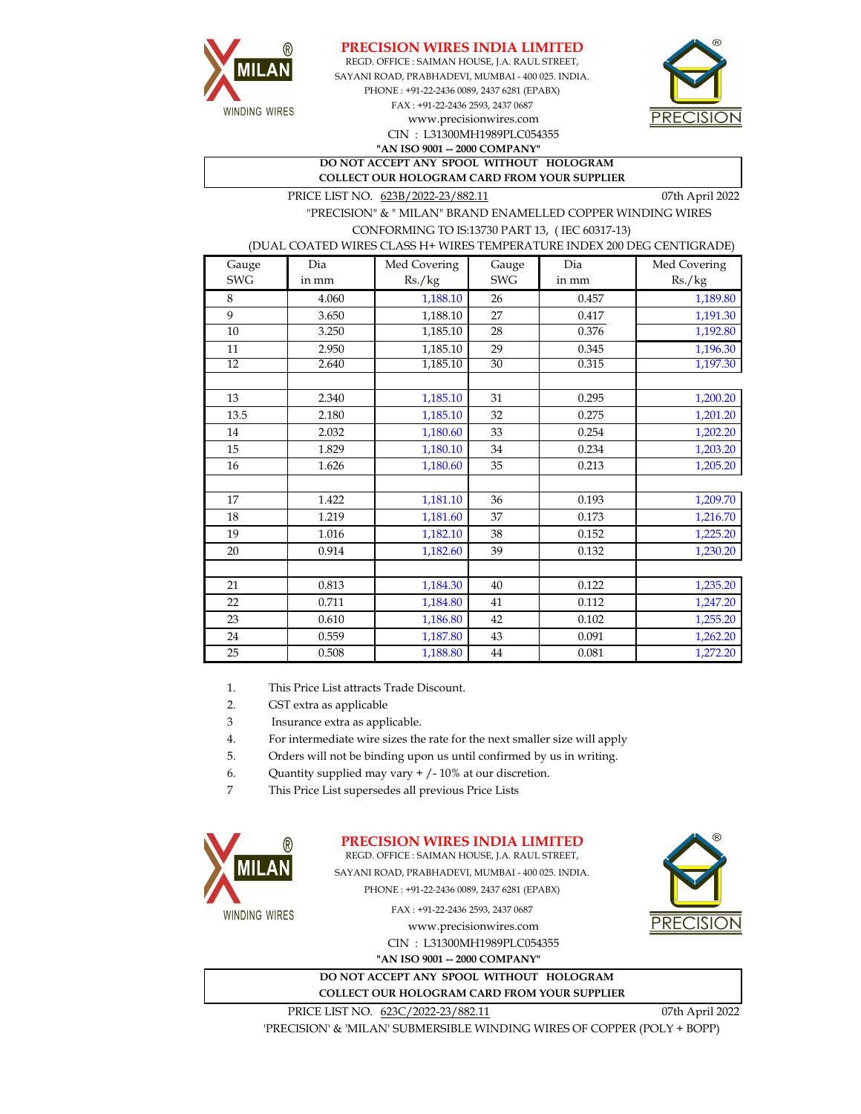



CIN : L31300MH1989PLC054355 SAYANI ROAD, PRABHADEVI, MUMBAI - 400 025. INDIA. PHONE : +91-22-2436 0089, 2437 6281 (EPABX) FAX : +91-22-2436 2593, 2437 0687 **"AN ISO 9001 -- 2000 COMPANY"** www.precisionwires.com REGD. OFFICE : SAIMAN HOUSE, J.A. RAUL STREET,



**DO NOT ACCEPT ANY SPOOL WITHOUT HOLOGRAM COLLECT OUR HOLOGRAM CARD FROM YOUR SUPPLIER** 

PRICE LIST NO. 623B/2022-23/882.11 07th April 2022

 "PRECISION" & " MILAN" BRAND ENAMELLED COPPER WINDING WIRES CONFORMING TO IS:13730 PART 13, ( IEC 60317-13)

(DUAL COATED WIRES CLASS H+ WIRES TEMPERATURE INDEX 200 DEG CENTIGRADE)

| Gauge      | Dia   | Med Covering | Gauge      | Dia   | Med Covering |
|------------|-------|--------------|------------|-------|--------------|
| <b>SWG</b> | in mm | Rs./kg       | <b>SWG</b> | in mm | Rs./kg       |
| 8          | 4.060 | 1,188.10     | 26         | 0.457 | 1,189.80     |
| 9          | 3.650 | 1,188.10     | 27         | 0.417 | 1,191.30     |
| $10\,$     | 3.250 | 1,185.10     | 28         | 0.376 | 1,192.80     |
| $11\,$     | 2.950 | 1,185.10     | 29         | 0.345 | 1,196.30     |
| 12         | 2.640 | 1,185.10     | 30         | 0.315 | 1,197.30     |
|            |       |              |            |       |              |
| 13         | 2.340 | 1,185.10     | 31         | 0.295 | 1,200.20     |
| 13.5       | 2.180 | 1,185.10     | 32         | 0.275 | 1,201.20     |
| 14         | 2.032 | 1,180.60     | 33         | 0.254 | 1,202.20     |
| 15         | 1.829 | 1,180.10     | 34         | 0.234 | 1,203.20     |
| 16         | 1.626 | 1,180.60     | 35         | 0.213 | 1,205.20     |
|            |       |              |            |       |              |
| 17         | 1.422 | 1,181.10     | 36         | 0.193 | 1,209.70     |
| 18         | 1.219 | 1,181.60     | 37         | 0.173 | 1,216.70     |
| 19         | 1.016 | 1,182.10     | 38         | 0.152 | 1,225.20     |
| 20         | 0.914 | 1,182.60     | 39         | 0.132 | 1,230.20     |
|            |       |              |            |       |              |
| 21         | 0.813 | 1,184.30     | 40         | 0.122 | 1,235.20     |
| 22         | 0.711 | 1,184.80     | 41         | 0.112 | 1,247.20     |
| 23         | 0.610 | 1,186.80     | 42         | 0.102 | 1,255.20     |
| 24         | 0.559 | 1,187.80     | 43         | 0.091 | 1,262.20     |
| 25         | 0.508 | 1,188.80     | 44         | 0.081 | 1,272.20     |

1. This Price List attracts Trade Discount.

2. GST extra as applicable

3 Insurance extra as applicable.

4. For intermediate wire sizes the rate for the next smaller size will apply

5. Orders will not be binding upon us until confirmed by us in writing.

6. Quantity supplied may vary + /- 10% at our discretion.

7 This Price List supersedes all previous Price Lists



## **PRECISION WIRES INDIA LIMITED**

REGD. OFFICE : SAIMAN HOUSE, J.A. RAUL STREET, SAYANI ROAD, PRABHADEVI, MUMBAI - 400 025. INDIA. PHONE : +91-22-2436 0089, 2437 6281 (EPABX)

**WINDING WIRES** 

FAX : +91-22-2436 2593, 2437 0687

www.precisionwires.com CIN : L31300MH1989PLC054355 **"AN ISO 9001 -- 2000 COMPANY"**

**DO NOT ACCEPT ANY SPOOL WITHOUT HOLOGRAM COLLECT OUR HOLOGRAM CARD FROM YOUR SUPPLIER** 



PRICE LIST NO.  $623C/2022-23/882.11$  07th April 2022

'PRECISION' & 'MILAN' SUBMERSIBLE WINDING WIRES OF COPPER (POLY + BOPP)